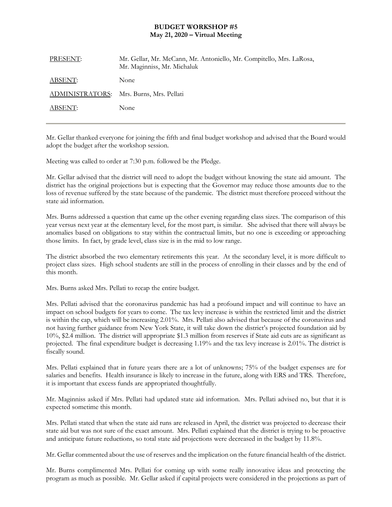## **BUDGET WORKSHOP #5 May 21, 2020 – Virtual Meeting**

Mr. Gellar thanked everyone for joining the fifth and final budget workshop and advised that the Board would adopt the budget after the workshop session.

Meeting was called to order at 7:30 p.m. followed be the Pledge.

Mr. Gellar advised that the district will need to adopt the budget without knowing the state aid amount. The district has the original projections but is expecting that the Governor may reduce those amounts due to the loss of revenue suffered by the state because of the pandemic. The district must therefore proceed without the state aid information.

Mrs. Burns addressed a question that came up the other evening regarding class sizes. The comparison of this year versus next year at the elementary level, for the most part, is similar. She advised that there will always be anomalies based on obligations to stay within the contractual limits, but no one is exceeding or approaching those limits. In fact, by grade level, class size is in the mid to low range.

The district absorbed the two elementary retirements this year. At the secondary level, it is more difficult to project class sizes. High school students are still in the process of enrolling in their classes and by the end of this month.

Mrs. Burns asked Mrs. Pellati to recap the entire budget.

Mrs. Pellati advised that the coronavirus pandemic has had a profound impact and will continue to have an impact on school budgets for years to come. The tax levy increase is within the restricted limit and the district is within the cap, which will be increasing 2.01%. Mrs. Pellati also advised that because of the coronavirus and not having further guidance from New York State, it will take down the district's projected foundation aid by 10%, \$2.4 million. The district will appropriate \$1.3 million from reserves if State aid cuts are as significant as projected. The final expenditure budget is decreasing 1.19% and the tax levy increase is 2.01%. The district is fiscally sound.

Mrs. Pellati explained that in future years there are a lot of unknowns; 75% of the budget expenses are for salaries and benefits. Health insurance is likely to increase in the future, along with ERS and TRS. Therefore, it is important that excess funds are appropriated thoughtfully.

Mr. Maginniss asked if Mrs. Pellati had updated state aid information. Mrs. Pellati advised no, but that it is expected sometime this month.

Mrs. Pellati stated that when the state aid runs are released in April, the district was projected to decrease their state aid but was not sure of the exact amount. Mrs. Pellati explained that the district is trying to be proactive and anticipate future reductions, so total state aid projections were decreased in the budget by 11.8%.

Mr. Gellar commented about the use of reserves and the implication on the future financial health of the district.

Mr. Burns complimented Mrs. Pellati for coming up with some really innovative ideas and protecting the program as much as possible. Mr. Gellar asked if capital projects were considered in the projections as part of